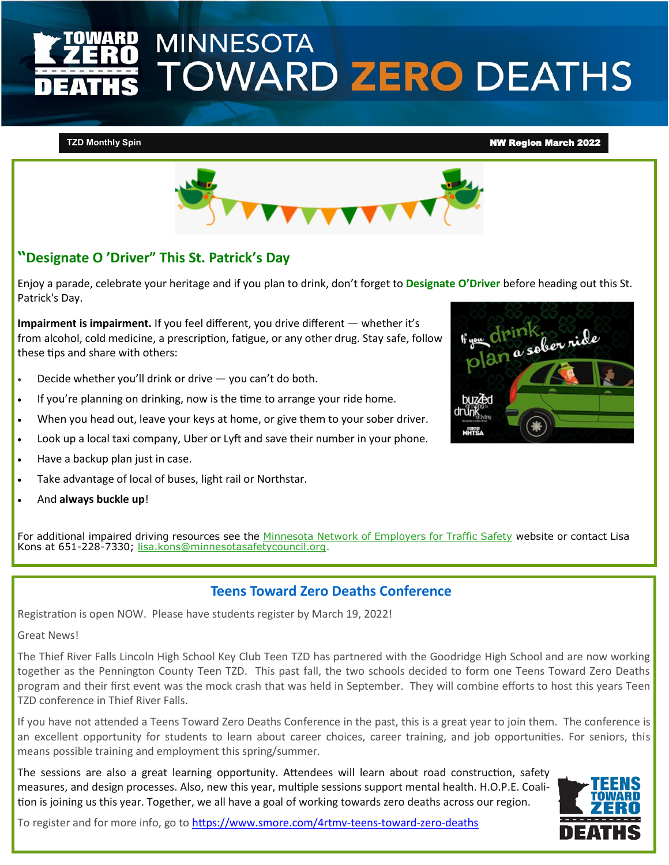# **MINNESOTA TOWARD ZERO DEATHS**

#### **TZD Monthly Spin** NW Region March 2022



## **"Designate O 'Driver" This St. Patrick's Day**

Enjoy a parade, celebrate your heritage and if you plan to drink, don't forget to **Designate O'Driver** before heading out this St. Patrick's Day.

**Impairment is impairment.** If you feel different, you drive different — whether it's from alcohol, cold medicine, a prescription, fatigue, or any other drug. Stay safe, follow these tips and share with others:

- Decide whether you'll drink or drive  $-$  you can't do both.
- If you're planning on drinking, now is the time to arrange your ride home.
- When you head out, leave your keys at home, or give them to your sober driver.
- Look up a local taxi company, Uber or Lyft and save their number in your phone.
- Have a backup plan just in case.
- Take advantage of local of buses, light rail or Northstar.
- And **always buckle up**!

For additional impaired driving resources see the [Minnesota Network of Employers for Traffic Safety](https://gcc02.safelinks.protection.outlook.com/?url=https%3A%2F%2Fr20.rs6.net%2Ftn.jsp%3Ff%3D0019Edj1dW--19gd7iHrlgQygJWzxgCuCGsXqHJZJUjcM7CtM5rWyl1FdG0n3i4DnXxRoN2MDLUQNbQMJ82UaScdqcBLrqXMGJqKSBkqPq3VL8xhgr5Y7xFI7Wu0AiR_x6lFj8zeLs67T92_3diUHtZm8TW9dsTuaF77cs) website or contact Lisa Kons at 651-228-7330; [lisa.kons@minnesotasafetycouncil.org.](mailto:lisa.kons@minnesotasafetycouncil.org)

## **Teens Toward Zero Deaths Conference**

Registration is open NOW. Please have students register by March 19, 2022!

Great News!

The Thief River Falls Lincoln High School Key Club Teen TZD has partnered with the Goodridge High School and are now working together as the Pennington County Teen TZD. This past fall, the two schools decided to form one Teens Toward Zero Deaths program and their first event was the mock crash that was held in September. They will combine efforts to host this years Teen TZD conference in Thief River Falls.

If you have not attended a Teens Toward Zero Deaths Conference in the past, this is a great year to join them. The conference is an excellent opportunity for students to learn about career choices, career training, and job opportunities. For seniors, this means possible training and employment this spring/summer.

The sessions are also a great learning opportunity. Attendees will learn about road construction, safety measures, and design processes. Also, new this year, multiple sessions support mental health. H.O.P.E. Coalition is joining us this year. Together, we all have a goal of working towards zero deaths across our region.



To register and for more info, go to [https://www.smore.com/4rtmv](https://gcc02.safelinks.protection.outlook.com/?url=https%3A%2F%2Fwww.smore.com%2F4rtmv-teens-toward-zero-deaths&data=04%7C01%7CSusan.Marie.Johnson%40state.mn.us%7Cd36383adbdff4884d3c408d9fe22dafb%7Ceb14b04624c445198f26b89c2159828c%7C0%7C0%7C63782024793173349)-teens-toward-zero-deaths